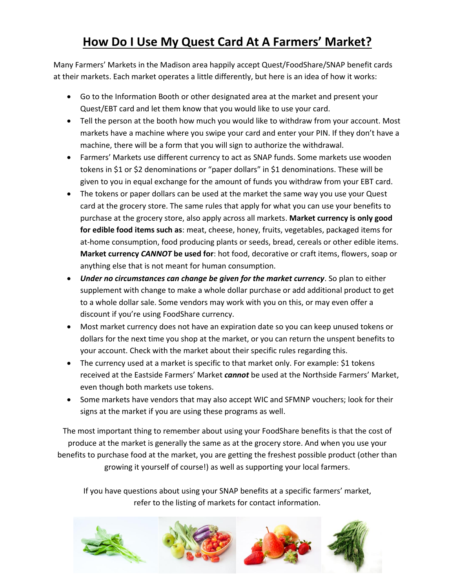## **How Do I Use My Quest Card At A Farmers' Market?**

Many Farmers' Markets in the Madison area happily accept Quest/FoodShare/SNAP benefit cards at their markets. Each market operates a little differently, but here is an idea of how it works:

- Go to the Information Booth or other designated area at the market and present your Quest/EBT card and let them know that you would like to use your card.
- Tell the person at the booth how much you would like to withdraw from your account. Most markets have a machine where you swipe your card and enter your PIN. If they don't have a machine, there will be a form that you will sign to authorize the withdrawal.
- Farmers' Markets use different currency to act as SNAP funds. Some markets use wooden tokens in \$1 or \$2 denominations or "paper dollars" in \$1 denominations. These will be given to you in equal exchange for the amount of funds you withdraw from your EBT card.
- The tokens or paper dollars can be used at the market the same way you use your Quest card at the grocery store. The same rules that apply for what you can use your benefits to purchase at the grocery store, also apply across all markets. **Market currency is only good for edible food items such as**: meat, cheese, honey, fruits, vegetables, packaged items for at-home consumption, food producing plants or seeds, bread, cereals or other edible items. **Market currency** *CANNOT* **be used for**: hot food, decorative or craft items, flowers, soap or anything else that is not meant for human consumption.
- *Under no circumstances can change be given for the market currency*. So plan to either supplement with change to make a whole dollar purchase or add additional product to get to a whole dollar sale. Some vendors may work with you on this, or may even offer a discount if you're using FoodShare currency.
- Most market currency does not have an expiration date so you can keep unused tokens or dollars for the next time you shop at the market, or you can return the unspent benefits to your account. Check with the market about their specific rules regarding this.
- The currency used at a market is specific to that market only. For example: \$1 tokens received at the Eastside Farmers' Market *cannot* be used at the Northside Farmers' Market, even though both markets use tokens.
- Some markets have vendors that may also accept WIC and SFMNP vouchers; look for their signs at the market if you are using these programs as well.

The most important thing to remember about using your FoodShare benefits is that the cost of produce at the market is generally the same as at the grocery store. And when you use your benefits to purchase food at the market, you are getting the freshest possible product (other than growing it yourself of course!) as well as supporting your local farmers.

If you have questions about using your SNAP benefits at a specific farmers' market, refer to the listing of markets for contact information.